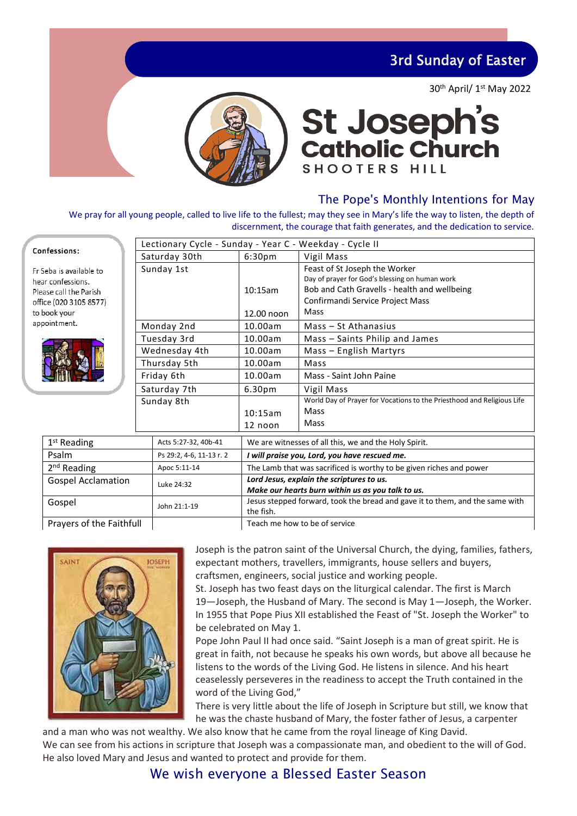3rd Sunday of Easter

30th April/ 1st May 2022



# **St Joseph's<br>Catholic Church SHOOTERS HILL**

### The Pope's Monthly Intentions for May

We pray for all young people, called to live life to the fullest; may they see in Mary's life the way to listen, the depth of discernment, the courage that faith generates, and the dedication to service.

| Confessions:                                                                                     | Lectionary Cycle - Sunday - Year C - Weekday - Cycle II |                                                                                                |                                                                                                                                                                     |  |
|--------------------------------------------------------------------------------------------------|---------------------------------------------------------|------------------------------------------------------------------------------------------------|---------------------------------------------------------------------------------------------------------------------------------------------------------------------|--|
|                                                                                                  | Saturday 30th                                           | 6:30 <sub>pm</sub>                                                                             | Vigil Mass                                                                                                                                                          |  |
| Fr Seba is available to<br>hear confessions.<br>Please call the Parish<br>office (020 3105 8577) | Sunday 1st                                              | 10:15am                                                                                        | Feast of St Joseph the Worker<br>Day of prayer for God's blessing on human work<br>Bob and Cath Gravells - health and wellbeing<br>Confirmandi Service Project Mass |  |
| to book your                                                                                     |                                                         | 12.00 noon                                                                                     | Mass                                                                                                                                                                |  |
| appointment.                                                                                     | Monday 2nd                                              | 10.00am                                                                                        | Mass - St Athanasius                                                                                                                                                |  |
|                                                                                                  | Tuesday 3rd                                             | 10.00am                                                                                        | Mass - Saints Philip and James                                                                                                                                      |  |
|                                                                                                  | Wednesday 4th                                           | 10.00am                                                                                        | Mass - English Martyrs                                                                                                                                              |  |
|                                                                                                  | Thursday 5th                                            | 10.00am                                                                                        | Mass                                                                                                                                                                |  |
|                                                                                                  | Friday 6th                                              | 10.00am                                                                                        | Mass - Saint John Paine                                                                                                                                             |  |
|                                                                                                  | Saturday 7th                                            | 6.30 <sub>pm</sub>                                                                             | Vigil Mass                                                                                                                                                          |  |
|                                                                                                  | Sunday 8th                                              |                                                                                                | World Day of Prayer for Vocations to the Priesthood and Religious Life                                                                                              |  |
|                                                                                                  |                                                         | 10:15am                                                                                        | Mass                                                                                                                                                                |  |
|                                                                                                  |                                                         | 12 noon                                                                                        | Mass                                                                                                                                                                |  |
| $1st$ Reading                                                                                    | Acts 5:27-32, 40b-41                                    | We are witnesses of all this, we and the Holy Spirit.                                          |                                                                                                                                                                     |  |
| Psalm<br>Ps 29:2, 4-6, 11-13 r. 2                                                                |                                                         | I will praise you, Lord, you have rescued me.                                                  |                                                                                                                                                                     |  |
| 2 <sup>nd</sup> Reading<br>Apoc 5:11-14                                                          |                                                         | The Lamb that was sacrificed is worthy to be given riches and power                            |                                                                                                                                                                     |  |
| <b>Gospel Acclamation</b><br>Luke 24:32                                                          |                                                         | Lord Jesus, explain the scriptures to us.<br>Make our hearts burn within us as you talk to us. |                                                                                                                                                                     |  |
| Gospel<br>John 21:1-19                                                                           |                                                         | Jesus stepped forward, took the bread and gave it to them, and the same with<br>the fish.      |                                                                                                                                                                     |  |
| Prayers of the Faithfull                                                                         |                                                         | Teach me how to be of service                                                                  |                                                                                                                                                                     |  |

Prayers of the Faithfull Teach me how to be of service



Joseph is the patron saint of the Universal Church, the dying, families, fathers, expectant mothers, travellers, immigrants, house sellers and buyers, craftsmen, engineers, social justice and working people.

St. Joseph has two feast days on the liturgical calendar. The first is March 19—Joseph, the Husband of Mary. The second is May 1—Joseph, the Worker. In 1955 that Pope Pius XII established the Feast of "St. Joseph the Worker" to be celebrated on May 1.

Pope John Paul II had once said. "Saint Joseph is a man of great spirit. He is great in faith, not because he speaks his own words, but above all because he listens to the words of the Living God. He listens in silence. And his heart ceaselessly perseveres in the readiness to accept the Truth contained in the word of the Living God,"

There is very little about the life of Joseph in Scripture but still, we know that he was the chaste husband of Mary, the foster father of Jesus, a carpenter

and a man who was not wealthy. We also know that he came from the royal lineage of King David. We can see from his actions in scripture that Joseph was a compassionate man, and obedient to the will of God. He also loved Mary and Jesus and wanted to protect and provide for them.

### We wish everyone a Blessed Easter Season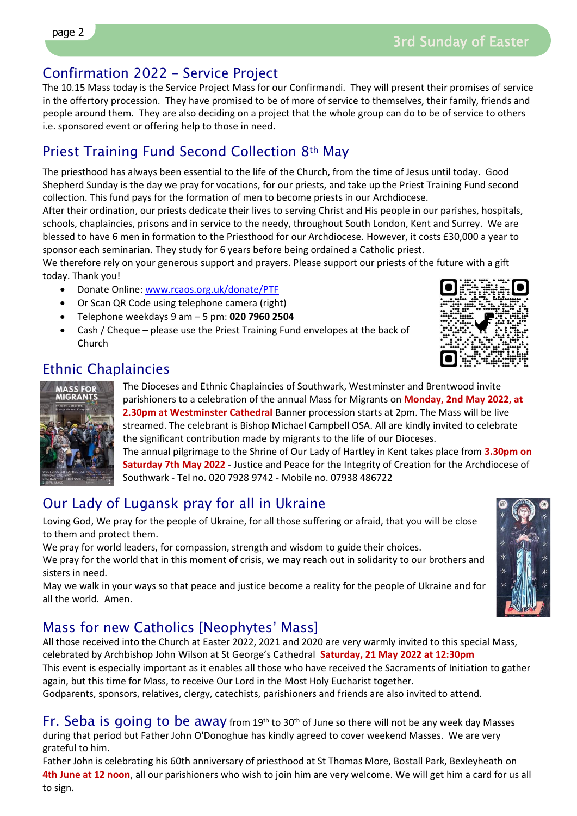### Confirmation 2022 – Service Project

The 10.15 Mass today is the Service Project Mass for our Confirmandi. They will present their promises of service in the offertory procession. They have promised to be of more of service to themselves, their family, friends and people around them. They are also deciding on a project that the whole group can do to be of service to others i.e. sponsored event or offering help to those in need.

### Priest Training Fund Second Collection 8th May

The priesthood has always been essential to the life of the Church, from the time of Jesus until today. Good Shepherd Sunday is the day we pray for vocations, for our priests, and take up the Priest Training Fund second collection. This fund pays for the formation of men to become priests in our Archdiocese.

After their ordination, our priests dedicate their lives to serving Christ and His people in our parishes, hospitals, schools, chaplaincies, prisons and in service to the needy, throughout South London, Kent and Surrey. We are blessed to have 6 men in formation to the Priesthood for our Archdiocese. However, it costs £30,000 a year to sponsor each seminarian. They study for 6 years before being ordained a Catholic priest.

We therefore rely on your generous support and prayers. Please support our priests of the future with a gift today. Thank you!

- Donate Online: [www.rcaos.org.uk/donate/PTF](http://www.rcaos.org.uk/donate/PTF)
- Or Scan QR Code using telephone camera (right)
- Telephone weekdays 9 am 5 pm: **020 7960 2504**
- Cash / Cheque please use the Priest Training Fund envelopes at the back of Church



### Ethnic Chaplaincies



The Dioceses and Ethnic Chaplaincies of Southwark, Westminster and Brentwood invite parishioners to a celebration of the annual Mass for Migrants on **Monday, 2nd May 2022, at 2.30pm at Westminster Cathedral** Banner procession starts at 2pm. The Mass will be live streamed. The celebrant is Bishop Michael Campbell OSA. All are kindly invited to celebrate the significant contribution made by migrants to the life of our Dioceses.

The annual pilgrimage to the Shrine of Our Lady of Hartley in Kent takes place from **3.30pm on Saturday 7th May 2022** - Justice and Peace for the Integrity of Creation for the Archdiocese of Southwark - Tel no. 020 7928 9742 - Mobile no. 07938 486722

### Our Lady of Lugansk pray for all in Ukraine

Loving God, We pray for the people of Ukraine, for all those suffering or afraid, that you will be close to them and protect them.

We pray for world leaders, for compassion, strength and wisdom to guide their choices.

We pray for the world that in this moment of crisis, we may reach out in solidarity to our brothers and sisters in need.

May we walk in your ways so that peace and justice become a reality for the people of Ukraine and for all the world. Amen.

## Mass for new Catholics [Neophytes' Mass]

All those received into the Church at Easter 2022, 2021 and 2020 are very warmly invited to this special Mass, celebrated by Archbishop John Wilson at St George's Cathedral **Saturday, 21 May 2022 at 12:30pm**

This event is especially important as it enables all those who have received the Sacraments of Initiation to gather again, but this time for Mass, to receive Our Lord in the Most Holy Eucharist together.

Godparents, sponsors, relatives, clergy, catechists, parishioners and friends are also invited to attend.

Fr. Seba is going to be away from 19<sup>th</sup> to 30<sup>th</sup> of June so there will not be any week day Masses during that period but Father John O'Donoghue has kindly agreed to cover weekend Masses. We are very grateful to him.

Father John is celebrating his 60th anniversary of priesthood at St Thomas More, Bostall Park, Bexleyheath on **4th June at 12 noon**, all our parishioners who wish to join him are very welcome. We will get him a card for us all to sign.

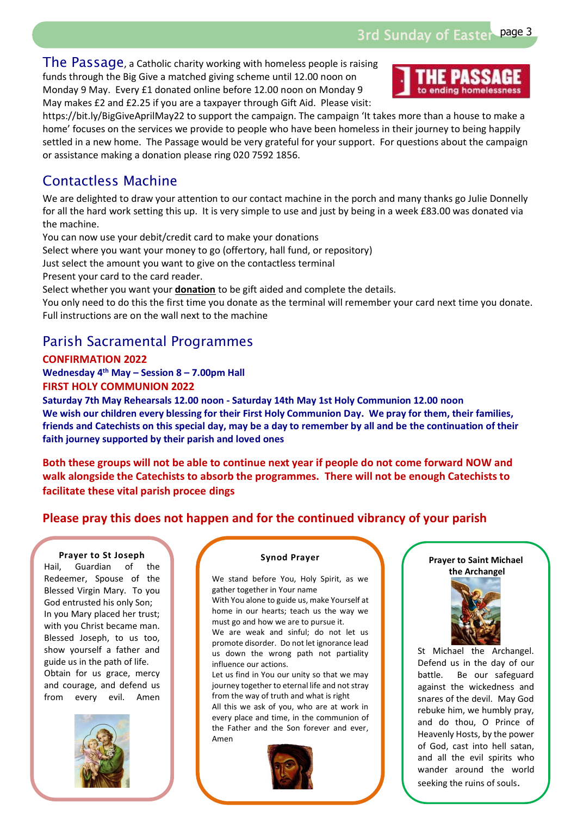3rd Sunday of Easter page 3

The Passage, a Catholic charity working with homeless people is raising funds through the Big Give a matched giving scheme until 12.00 noon on Monday 9 May. Every £1 donated online before 12.00 noon on Monday 9 May makes £2 and £2.25 if you are a taxpayer through Gift Aid. Please visit:



https://bit.ly/BigGiveAprilMay22 to support the campaign. The campaign 'It takes more than a house to make a home' focuses on the services we provide to people who have been homeless in their journey to being happily settled in a new home. The Passage would be very grateful for your support. For questions about the campaign or assistance making a donation please ring 020 7592 1856.

### Contactless Machine

We are delighted to draw your attention to our contact machine in the porch and many thanks go Julie Donnelly for all the hard work setting this up. It is very simple to use and just by being in a week £83.00 was donated via the machine.

You can now use your debit/credit card to make your donations

Select where you want your money to go (offertory, hall fund, or repository)

Just select the amount you want to give on the contactless terminal

Present your card to the card reader.

Select whether you want your **donation** to be gift aided and complete the details.

You only need to do this the first time you donate as the terminal will remember your card next time you donate. Full instructions are on the wall next to the machine

### Parish Sacramental Programmes

**CONFIRMATION 2022 Wednesday 4 th May – Session 8 – 7.00pm Hall FIRST HOLY COMMUNION 2022**

**Saturday 7th May Rehearsals 12.00 noon - Saturday 14th May 1st Holy Communion 12.00 noon We wish our children every blessing for their First Holy Communion Day. We pray for them, their families, friends and Catechists on this special day, may be a day to remember by all and be the continuation of their faith journey supported by their parish and loved ones**

**Both these groups will not be able to continue next year if people do not come forward NOW and walk alongside the Catechists to absorb the programmes. There will not be enough Catechists to facilitate these vital parish procee dings** 

### **Please pray this does not happen and for the continued vibrancy of your parish**

#### **Prayer to St Joseph**

Hail, Guardian of the Redeemer, Spouse of the Blessed Virgin Mary. To you God entrusted his only Son; In you Mary placed her trust; with you Christ became man. Blessed Joseph, to us too, show yourself a father and guide us in the path of life. Obtain for us grace, mercy and courage, and defend us from every evil. Amen



#### **Synod Prayer**

We stand before You, Holy Spirit, as we gather together in Your name

With You alone to guide us, make Yourself at home in our hearts; teach us the way we must go and how we are to pursue it.

We are weak and sinful; do not let us promote disorder. Do not let ignorance lead us down the wrong path not partiality influence our actions.

Let us find in You our unity so that we may journey together to eternal life and not stray from the way of truth and what is right

All this we ask of you, who are at work in every place and time, in the communion of the Father and the Son forever and ever, Amen



#### **Prayer to Saint Michael the Archangel**



St Michael the Archangel. Defend us in the day of our battle. Be our safeguard against the wickedness and snares of the devil. May God rebuke him, we humbly pray, and do thou, O Prince of Heavenly Hosts, by the power of God, cast into hell satan, and all the evil spirits who wander around the world seeking the ruins of souls.